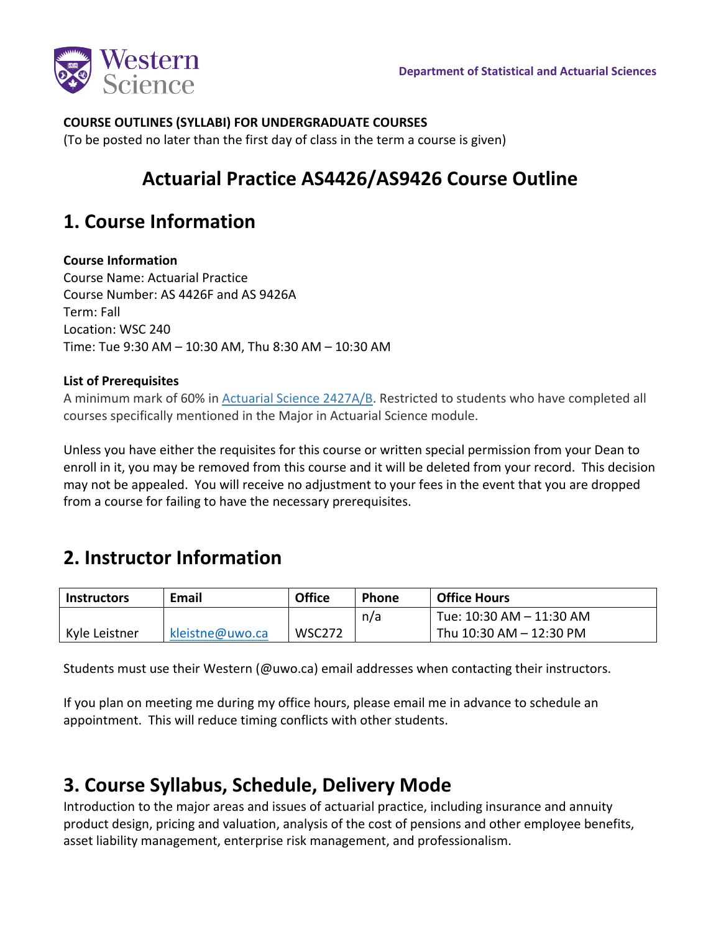

### **COURSE OUTLINES (SYLLABI) FOR UNDERGRADUATE COURSES**

(To be posted no later than the first day of class in the term a course is given)

# **Actuarial Practice AS4426/AS9426 Course Outline**

## **1. Course Information**

### **Course Information**

Course Name: Actuarial Practice Course Number: AS 4426F and AS 9426A Term: Fall Location: WSC 240 Time: Tue 9:30 AM – 10:30 AM, Thu 8:30 AM – 10:30 AM

### **List of Prerequisites**

A minimum mark of 60% in [Actuarial Science 2427A/B.](https://www.westerncalendar.uwo.ca/Courses.cfm?CourseAcadCalendarID=MAIN_022438_1&SelectedCalendar=Live&ArchiveID=) Restricted to students who have completed all courses specifically mentioned in the Major in Actuarial Science module.

Unless you have either the requisites for this course or written special permission from your Dean to enroll in it, you may be removed from this course and it will be deleted from your record. This decision may not be appealed. You will receive no adjustment to your fees in the event that you are dropped from a course for failing to have the necessary prerequisites.

## **2. Instructor Information**

| <b>Instructors</b> | Email           | <b>Office</b> | <b>Phone</b> | <b>Office Hours</b>      |
|--------------------|-----------------|---------------|--------------|--------------------------|
|                    |                 |               | n/a          | Tue: 10:30 AM - 11:30 AM |
| Kyle Leistner      | kleistne@uwo.ca | <b>WSC272</b> |              | Thu 10:30 AM - 12:30 PM  |

Students must use their Western (@uwo.ca) email addresses when contacting their instructors.

If you plan on meeting me during my office hours, please email me in advance to schedule an appointment. This will reduce timing conflicts with other students.

## **3. Course Syllabus, Schedule, Delivery Mode**

Introduction to the major areas and issues of actuarial practice, including insurance and annuity product design, pricing and valuation, analysis of the cost of pensions and other employee benefits, asset liability management, enterprise risk management, and professionalism.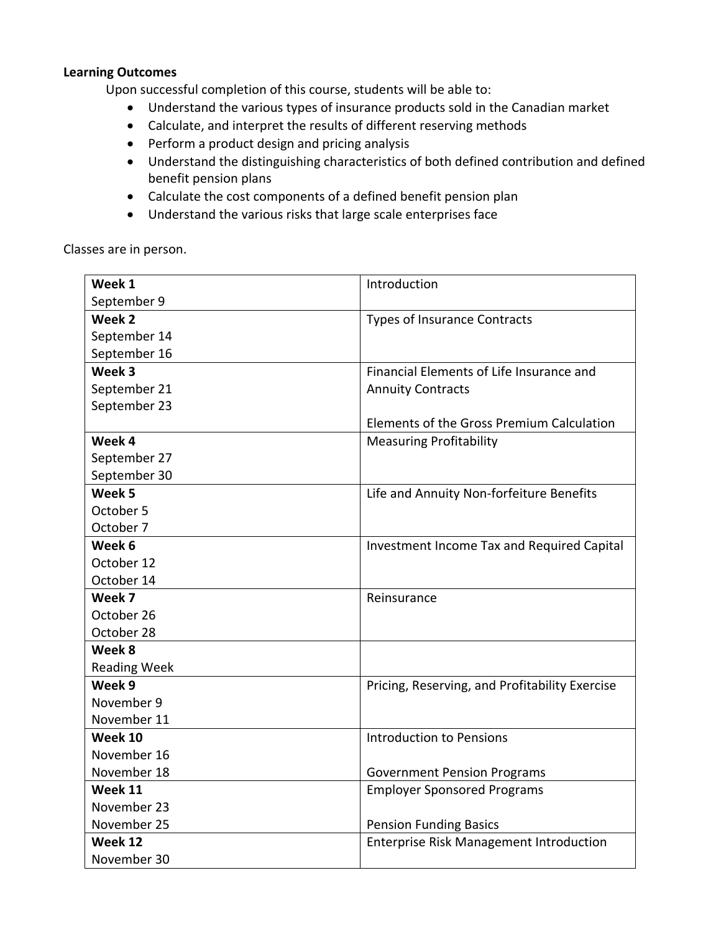### **Learning Outcomes**

Upon successful completion of this course, students will be able to:

- Understand the various types of insurance products sold in the Canadian market
- Calculate, and interpret the results of different reserving methods
- Perform a product design and pricing analysis
- Understand the distinguishing characteristics of both defined contribution and defined benefit pension plans
- Calculate the cost components of a defined benefit pension plan
- Understand the various risks that large scale enterprises face

Classes are in person.

| Week 1              | Introduction                                   |  |
|---------------------|------------------------------------------------|--|
| September 9         |                                                |  |
| Week 2              | <b>Types of Insurance Contracts</b>            |  |
| September 14        |                                                |  |
| September 16        |                                                |  |
| Week 3              | Financial Elements of Life Insurance and       |  |
| September 21        | <b>Annuity Contracts</b>                       |  |
| September 23        |                                                |  |
|                     | Elements of the Gross Premium Calculation      |  |
| Week 4              | <b>Measuring Profitability</b>                 |  |
| September 27        |                                                |  |
| September 30        |                                                |  |
| Week 5              | Life and Annuity Non-forfeiture Benefits       |  |
| October 5           |                                                |  |
| October 7           |                                                |  |
| Week 6              | Investment Income Tax and Required Capital     |  |
| October 12          |                                                |  |
| October 14          |                                                |  |
| Week 7              | Reinsurance                                    |  |
| October 26          |                                                |  |
| October 28          |                                                |  |
| Week 8              |                                                |  |
| <b>Reading Week</b> |                                                |  |
| Week 9              | Pricing, Reserving, and Profitability Exercise |  |
| November 9          |                                                |  |
| November 11         |                                                |  |
| Week 10             | <b>Introduction to Pensions</b>                |  |
| November 16         |                                                |  |
| November 18         | <b>Government Pension Programs</b>             |  |
| Week 11             | <b>Employer Sponsored Programs</b>             |  |
| November 23         |                                                |  |
| November 25         | <b>Pension Funding Basics</b>                  |  |
| Week 12             | <b>Enterprise Risk Management Introduction</b> |  |
| November 30         |                                                |  |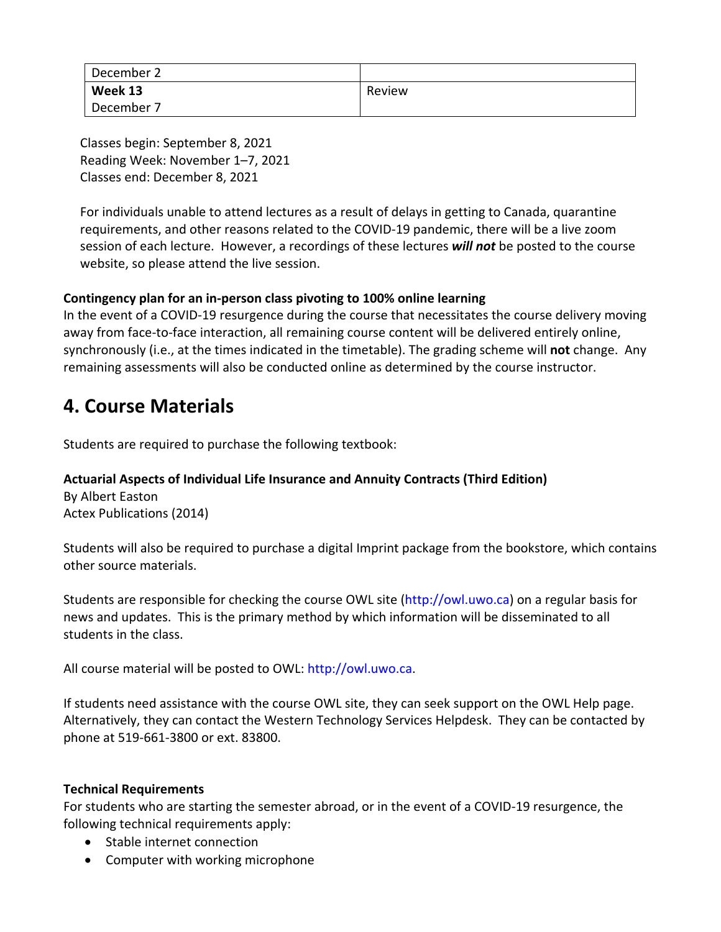| December 2 |        |
|------------|--------|
| Week 13    | Review |
| December   |        |

Classes begin: September 8, 2021 Reading Week: November 1–7, 2021 Classes end: December 8, 2021

For individuals unable to attend lectures as a result of delays in getting to Canada, quarantine requirements, and other reasons related to the COVID-19 pandemic, there will be a live zoom session of each lecture. However, a recordings of these lectures *will not* be posted to the course website, so please attend the live session.

### **Contingency plan for an in-person class pivoting to 100% online learning**

In the event of a COVID-19 resurgence during the course that necessitates the course delivery moving away from face-to-face interaction, all remaining course content will be delivered entirely online, synchronously (i.e., at the times indicated in the timetable). The grading scheme will **not** change. Any remaining assessments will also be conducted online as determined by the course instructor.

## **4. Course Materials**

Students are required to purchase the following textbook:

## **Actuarial Aspects of Individual Life Insurance and Annuity Contracts (Third Edition)**

By Albert Easton Actex Publications (2014)

Students will also be required to purchase a digital Imprint package from the bookstore, which contains other source materials.

Students are responsible for checking the course OWL site (http://owl.uwo.ca) on a regular basis for news and updates. This is the primary method by which information will be disseminated to all students in the class.

All course material will be posted to OWL: http://owl.uwo.ca.

If students need assistance with the course OWL site, they can seek support on the OWL Help page. Alternatively, they can contact the Western Technology Services Helpdesk. They can be contacted by phone at 519-661-3800 or ext. 83800.

### **Technical Requirements**

For students who are starting the semester abroad, or in the event of a COVID-19 resurgence, the following technical requirements apply:

- Stable internet connection
- Computer with working microphone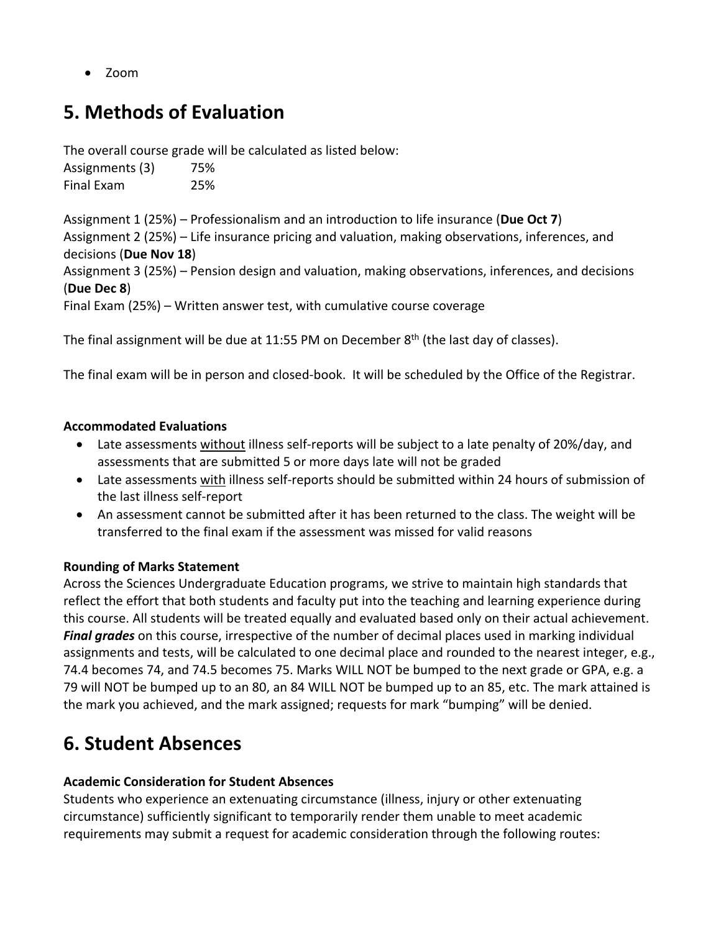• Zoom

# **5. Methods of Evaluation**

The overall course grade will be calculated as listed below:

| Assignments (3) | 75% |
|-----------------|-----|
| Final Exam      | 25% |

Assignment 1 (25%) – Professionalism and an introduction to life insurance (**Due Oct 7**) Assignment 2 (25%) – Life insurance pricing and valuation, making observations, inferences, and decisions (**Due Nov 18**) Assignment 3 (25%) – Pension design and valuation, making observations, inferences, and decisions (**Due Dec 8**)

Final Exam (25%) – Written answer test, with cumulative course coverage

The final assignment will be due at 11:55 PM on December  $8<sup>th</sup>$  (the last day of classes).

The final exam will be in person and closed-book. It will be scheduled by the Office of the Registrar.

### **Accommodated Evaluations**

- Late assessments without illness self-reports will be subject to a late penalty of 20%/day, and assessments that are submitted 5 or more days late will not be graded
- Late assessments with illness self-reports should be submitted within 24 hours of submission of the last illness self-report
- An assessment cannot be submitted after it has been returned to the class. The weight will be transferred to the final exam if the assessment was missed for valid reasons

## **Rounding of Marks Statement**

Across the Sciences Undergraduate Education programs, we strive to maintain high standards that reflect the effort that both students and faculty put into the teaching and learning experience during this course. All students will be treated equally and evaluated based only on their actual achievement. *Final grades* on this course, irrespective of the number of decimal places used in marking individual assignments and tests, will be calculated to one decimal place and rounded to the nearest integer, e.g., 74.4 becomes 74, and 74.5 becomes 75. Marks WILL NOT be bumped to the next grade or GPA, e.g. a 79 will NOT be bumped up to an 80, an 84 WILL NOT be bumped up to an 85, etc. The mark attained is the mark you achieved, and the mark assigned; requests for mark "bumping" will be denied.

# **6. Student Absences**

## **Academic Consideration for Student Absences**

Students who experience an extenuating circumstance (illness, injury or other extenuating circumstance) sufficiently significant to temporarily render them unable to meet academic requirements may submit a request for academic consideration through the following routes: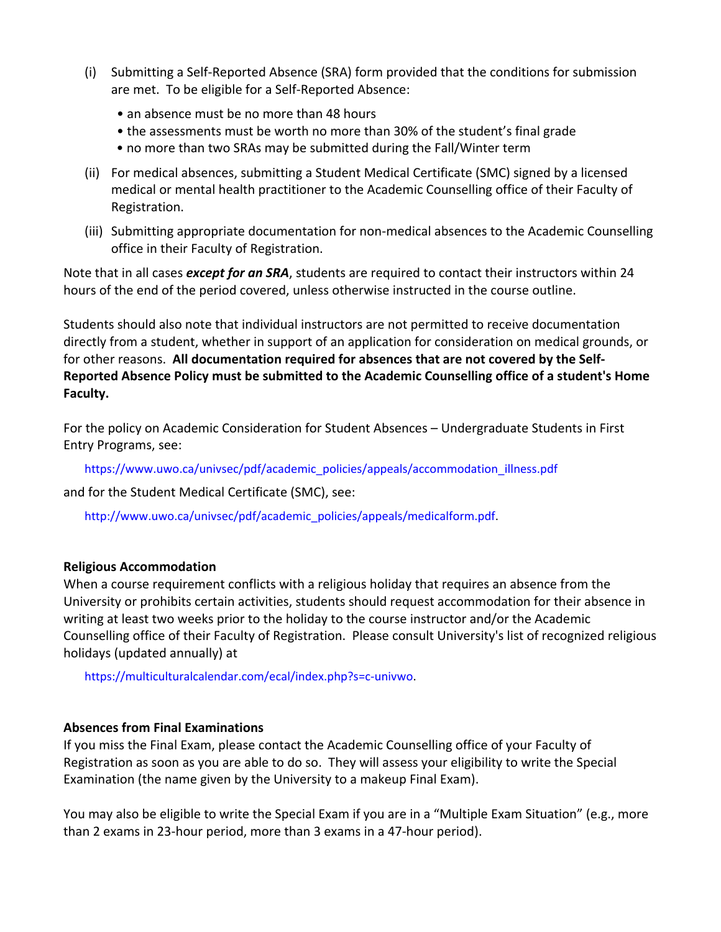- (i) Submitting a Self-Reported Absence (SRA) form provided that the conditions for submission are met. To be eligible for a Self-Reported Absence:
	- an absence must be no more than 48 hours
	- the assessments must be worth no more than 30% of the student's final grade
	- no more than two SRAs may be submitted during the Fall/Winter term
- (ii) For medical absences, submitting a Student Medical Certificate (SMC) signed by a licensed medical or mental health practitioner to the Academic Counselling office of their Faculty of Registration.
- (iii) Submitting appropriate documentation for non-medical absences to the Academic Counselling office in their Faculty of Registration.

Note that in all cases *except for an SRA*, students are required to contact their instructors within 24 hours of the end of the period covered, unless otherwise instructed in the course outline.

Students should also note that individual instructors are not permitted to receive documentation directly from a student, whether in support of an application for consideration on medical grounds, or for other reasons. **All documentation required for absences that are not covered by the Self-Reported Absence Policy must be submitted to the Academic Counselling office of a student's Home Faculty.**

For the policy on Academic Consideration for Student Absences – Undergraduate Students in First Entry Programs, see:

https://www.uwo.ca/univsec/pdf/academic\_policies/appeals/accommodation\_illness.pdf

and for the Student Medical Certificate (SMC), see:

http://www.uwo.ca/univsec/pdf/academic\_policies/appeals/medicalform.pdf.

### **Religious Accommodation**

When a course requirement conflicts with a religious holiday that requires an absence from the University or prohibits certain activities, students should request accommodation for their absence in writing at least two weeks prior to the holiday to the course instructor and/or the Academic Counselling office of their Faculty of Registration. Please consult University's list of recognized religious holidays (updated annually) at

https://multiculturalcalendar.com/ecal/index.php?s=c-univwo.

### **Absences from Final Examinations**

If you miss the Final Exam, please contact the Academic Counselling office of your Faculty of Registration as soon as you are able to do so. They will assess your eligibility to write the Special Examination (the name given by the University to a makeup Final Exam).

You may also be eligible to write the Special Exam if you are in a "Multiple Exam Situation" (e.g., more than 2 exams in 23-hour period, more than 3 exams in a 47-hour period).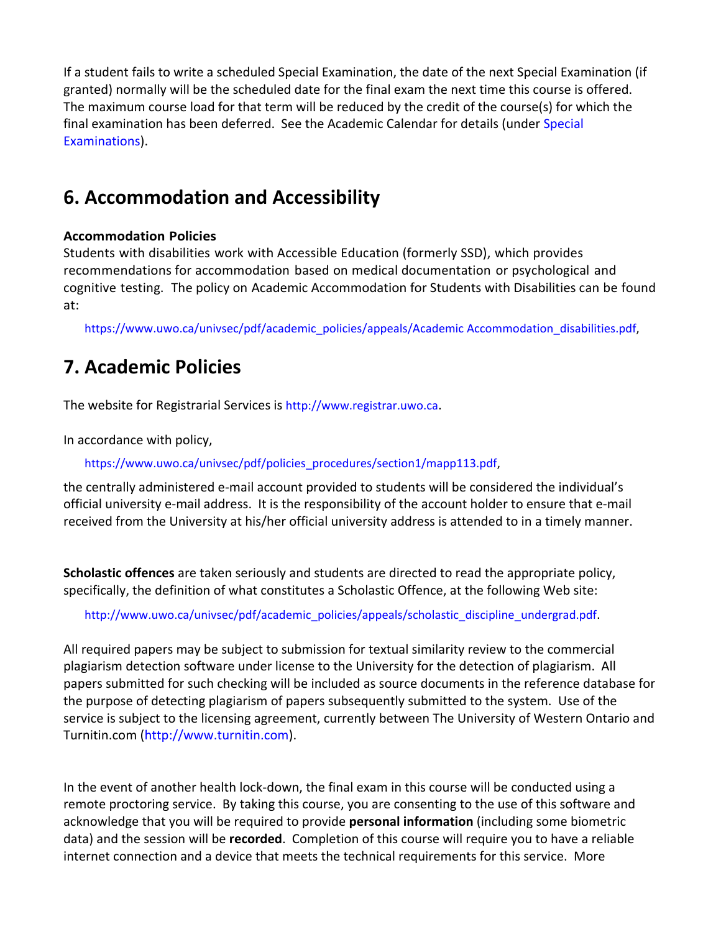If a student fails to write a scheduled Special Examination, the date of the next Special Examination (if granted) normally will be the scheduled date for the final exam the next time this course is offered. The maximum course load for that term will be reduced by the credit of the course(s) for which the final examination has been deferred. See the Academic Calendar for details (under Special Examinations).

# **6. Accommodation and Accessibility**

### **Accommodation Policies**

Students with disabilities work with Accessible Education (formerly SSD), which provides recommendations for accommodation based on medical documentation or psychological and cognitive testing. The policy on Academic Accommodation for Students with Disabilities can be found at:

https://www.uwo.ca/univsec/pdf/academic\_policies/appeals/Academic Accommodation\_disabilities.pdf,

# **7. Academic Policies**

The website for Registrarial Services is http://www.registrar.uwo.ca.

In accordance with policy,

https://www.uwo.ca/univsec/pdf/policies\_procedures/section1/mapp113.pdf,

the centrally administered e-mail account provided to students will be considered the individual's official university e-mail address. It is the responsibility of the account holder to ensure that e-mail received from the University at his/her official university address is attended to in a timely manner.

**Scholastic offences** are taken seriously and students are directed to read the appropriate policy, specifically, the definition of what constitutes a Scholastic Offence, at the following Web site:

http://www.uwo.ca/univsec/pdf/academic\_policies/appeals/scholastic\_discipline\_undergrad.pdf.

All required papers may be subject to submission for textual similarity review to the commercial plagiarism detection software under license to the University for the detection of plagiarism. All papers submitted for such checking will be included as source documents in the reference database for the purpose of detecting plagiarism of papers subsequently submitted to the system. Use of the service is subject to the licensing agreement, currently between The University of Western Ontario and Turnitin.com (http://www.turnitin.com).

In the event of another health lock-down, the final exam in this course will be conducted using a remote proctoring service. By taking this course, you are consenting to the use of this software and acknowledge that you will be required to provide **personal information** (including some biometric data) and the session will be **recorded**. Completion of this course will require you to have a reliable internet connection and a device that meets the technical requirements for this service. More